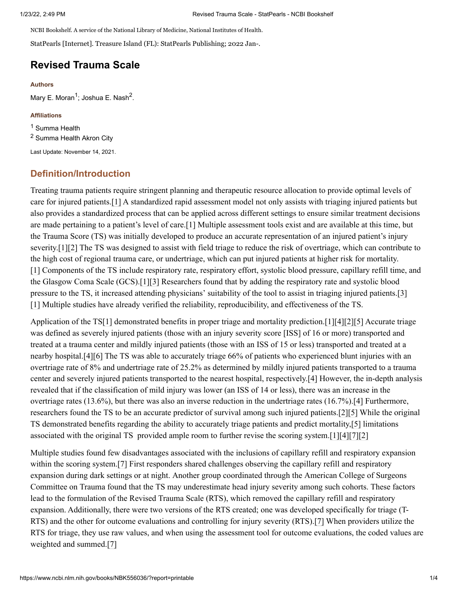NCBI Bookshelf. A service of the National Library of Medicine, National Institutes of Health.

StatPearls [Internet]. Treasure Island (FL): StatPearls Publishing; 2022 Jan-.

# **Revised Trauma Scale**

#### **Authors**

Mary E. Moran<sup>1</sup>; Joshua E. Nash<sup>2</sup>.

#### **Affiliations**

<sup>1</sup> Summa Health  $2$  Summa Health Akron City

Last Update: November 14, 2021.

# **Definition/Introduction**

Treating trauma patients require stringent planning and therapeutic resource allocation to provide optimal levels of care for injured patients.[1] A standardized rapid assessment model not only assists with triaging injured patients but also provides a standardized process that can be applied across different settings to ensure similar treatment decisions are made pertaining to a patient's level of care.[1] Multiple assessment tools exist and are available at this time, but the Trauma Score (TS) was initially developed to produce an accurate representation of an injured patient's injury severity.[1][2] The TS was designed to assist with field triage to reduce the risk of overtriage, which can contribute to the high cost of regional trauma care, or undertriage, which can put injured patients at higher risk for mortality. [1] Components of the TS include respiratory rate, respiratory effort, systolic blood pressure, capillary refill time, and the Glasgow Coma Scale (GCS).[1][3] Researchers found that by adding the respiratory rate and systolic blood pressure to the TS, it increased attending physicians' suitability of the tool to assist in triaging injured patients.[3] [1] Multiple studies have already verified the reliability, reproducibility, and effectiveness of the TS.

Application of the TS[1] demonstrated benefits in proper triage and mortality prediction.[1][4][2][5] Accurate triage was defined as severely injured patients (those with an injury severity score [ISS] of 16 or more) transported and treated at a trauma center and mildly injured patients (those with an ISS of 15 or less) transported and treated at a nearby hospital.[4][6] The TS was able to accurately triage 66% of patients who experienced blunt injuries with an overtriage rate of 8% and undertriage rate of 25.2% as determined by mildly injured patients transported to a trauma center and severely injured patients transported to the nearest hospital, respectively.[4] However, the in-depth analysis revealed that if the classification of mild injury was lower (an ISS of 14 or less), there was an increase in the overtriage rates (13.6%), but there was also an inverse reduction in the undertriage rates (16.7%).[4] Furthermore, researchers found the TS to be an accurate predictor of survival among such injured patients.[2][5] While the original TS demonstrated benefits regarding the ability to accurately triage patients and predict mortality,[5] limitations associated with the original TS provided ample room to further revise the scoring system.[1][4][7][2]

Multiple studies found few disadvantages associated with the inclusions of capillary refill and respiratory expansion within the scoring system.<sup>[7]</sup> First responders shared challenges observing the capillary refill and respiratory expansion during dark settings or at night. Another group coordinated through the American College of Surgeons Committee on Trauma found that the TS may underestimate head injury severity among such cohorts. These factors lead to the formulation of the Revised Trauma Scale (RTS), which removed the capillary refill and respiratory expansion. Additionally, there were two versions of the RTS created; one was developed specifically for triage (T-RTS) and the other for outcome evaluations and controlling for injury severity (RTS).[7] When providers utilize the RTS for triage, they use raw values, and when using the assessment tool for outcome evaluations, the coded values are weighted and summed.[7]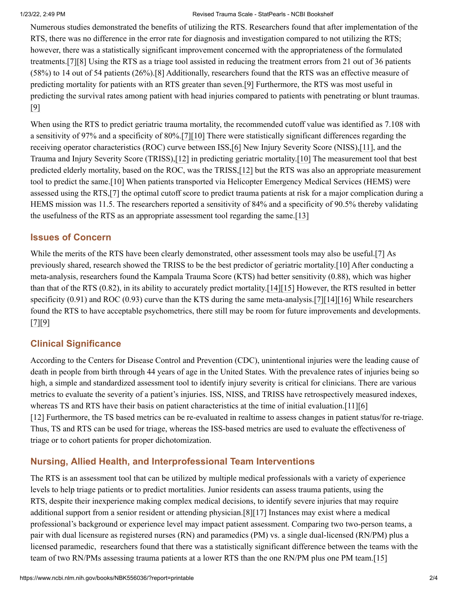#### 1/23/22, 2:49 PM Revised Trauma Scale - StatPearls - NCBI Bookshelf

Numerous studies demonstrated the benefits of utilizing the RTS. Researchers found that after implementation of the RTS, there was no difference in the error rate for diagnosis and investigation compared to not utilizing the RTS; however, there was a statistically significant improvement concerned with the appropriateness of the formulated treatments.[7][8] Using the RTS as a triage tool assisted in reducing the treatment errors from 21 out of 36 patients (58%) to 14 out of 54 patients (26%).[8] Additionally, researchers found that the RTS was an effective measure of predicting mortality for patients with an RTS greater than seven.[9] Furthermore, the RTS was most useful in predicting the survival rates among patient with head injuries compared to patients with penetrating or blunt traumas. [9]

When using the RTS to predict geriatric trauma mortality, the recommended cutoff value was identified as 7.108 with a sensitivity of 97% and a specificity of 80%.[7][10] There were statistically significant differences regarding the receiving operator characteristics (ROC) curve between ISS,[6] New Injury Severity Score (NISS),[11], and the Trauma and Injury Severity Score (TRISS),[12] in predicting geriatric mortality.[10] The measurement tool that best predicted elderly mortality, based on the ROC, was the TRISS,[12] but the RTS was also an appropriate measurement tool to predict the same.[10] When patients transported via Helicopter Emergency Medical Services (HEMS) were assessed using the RTS,[7] the optimal cutoff score to predict trauma patients at risk for a major complication during a HEMS mission was 11.5. The researchers reported a sensitivity of 84% and a specificity of 90.5% thereby validating the usefulness of the RTS as an appropriate assessment tool regarding the same.[13]

## **Issues of Concern**

While the merits of the RTS have been clearly demonstrated, other assessment tools may also be useful.[7] As previously shared, research showed the TRISS to be the best predictor of geriatric mortality.[10] After conducting a meta-analysis, researchers found the Kampala Trauma Score (KTS) had better sensitivity (0.88), which was higher than that of the RTS (0.82), in its ability to accurately predict mortality.[14][15] However, the RTS resulted in better specificity (0.91) and ROC (0.93) curve than the KTS during the same meta-analysis.[7][14][16] While researchers found the RTS to have acceptable psychometrics, there still may be room for future improvements and developments. [7][9]

# **Clinical Significance**

According to the Centers for Disease Control and Prevention (CDC), unintentional injuries were the leading cause of death in people from birth through 44 years of age in the United States. With the prevalence rates of injuries being so high, a simple and standardized assessment tool to identify injury severity is critical for clinicians. There are various metrics to evaluate the severity of a patient's injuries. ISS, NISS, and TRISS have retrospectively measured indexes, whereas TS and RTS have their basis on patient characteristics at the time of initial evaluation.[11][6] [12] Furthermore, the TS based metrics can be re-evaluated in realtime to assess changes in patient status/for re-triage. Thus, TS and RTS can be used for triage, whereas the ISS-based metrics are used to evaluate the effectiveness of triage or to cohort patients for proper dichotomization.

# **Nursing, Allied Health, and Interprofessional Team Interventions**

The RTS is an assessment tool that can be utilized by multiple medical professionals with a variety of experience levels to help triage patients or to predict mortalities. Junior residents can assess trauma patients, using the RTS, despite their inexperience making complex medical decisions, to identify severe injuries that may require additional support from a senior resident or attending physician.[8][17] Instances may exist where a medical professional's background or experience level may impact patient assessment. Comparing two two-person teams, a pair with dual licensure as registered nurses (RN) and paramedics (PM) vs. a single dual-licensed (RN/PM) plus a licensed paramedic, researchers found that there was a statistically significant difference between the teams with the team of two RN/PMs assessing trauma patients at a lower RTS than the one RN/PM plus one PM team.[15]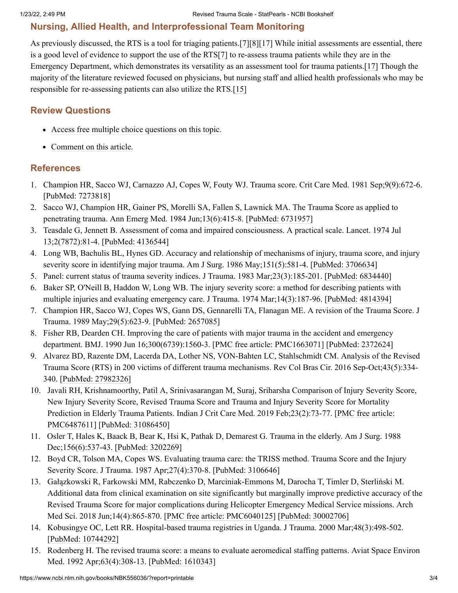### **Nursing, Allied Health, and Interprofessional Team Monitoring**

As previously discussed, the RTS is a tool for triaging patients.[7][8][17] While initial assessments are essential, there is a good level of evidence to support the use of the RTS[7] to re-assess trauma patients while they are in the Emergency Department, which demonstrates its versatility as an assessment tool for trauma patients.[17] Though the majority of the literature reviewed focused on physicians, but nursing staff and allied health professionals who may be responsible for re-assessing patients can also utilize the RTS.[15]

### **Review Questions**

- Access free multiple choice [questions](https://www.statpearls.com/account/trialuserreg/?articleid=28503&utm_source=pubmed&utm_campaign=reviews&utm_content=28503) on this topic.
- [Comment](https://www.statpearls.com/articlelibrary/commentarticle/28503/?utm_source=pubmed&utm_campaign=comments&utm_content=28503) on this article.

### **References**

- 1. Champion HR, Sacco WJ, Carnazzo AJ, Copes W, Fouty WJ. Trauma score. Crit Care Med. 1981 Sep;9(9):672-6. [[PubMed:](https://www.ncbi.nlm.nih.gov/pubmed/7273818) 7273818]
- 2. Sacco WJ, Champion HR, Gainer PS, Morelli SA, Fallen S, Lawnick MA. The Trauma Score as applied to penetrating trauma. Ann Emerg Med. 1984 Jun;13(6):415-8. [\[PubMed:](https://www.ncbi.nlm.nih.gov/pubmed/6731957) 6731957]
- 3. Teasdale G, Jennett B. Assessment of coma and impaired consciousness. A practical scale. Lancet. 1974 Jul 13;2(7872):81-4. [[PubMed:](https://www.ncbi.nlm.nih.gov/pubmed/4136544) 4136544]
- 4. Long WB, Bachulis BL, Hynes GD. Accuracy and relationship of mechanisms of injury, trauma score, and injury severity score in identifying major trauma. Am J Surg. 1986 May;151(5):581-4. [[PubMed:](https://www.ncbi.nlm.nih.gov/pubmed/3706634) 3706634]
- 5. Panel: current status of trauma severity indices. J Trauma. 1983 Mar;23(3):185-201. [[PubMed:](https://www.ncbi.nlm.nih.gov/pubmed/6834440) 6834440]
- 6. Baker SP, O'Neill B, Haddon W, Long WB. The injury severity score: a method for describing patients with multiple injuries and evaluating emergency care. J Trauma. 1974 Mar;14(3):187-96. [[PubMed:](https://www.ncbi.nlm.nih.gov/pubmed/4814394) 4814394]
- 7. Champion HR, Sacco WJ, Copes WS, Gann DS, Gennarelli TA, Flanagan ME. A revision of the Trauma Score. J Trauma. 1989 May;29(5):623-9. [\[PubMed:](https://www.ncbi.nlm.nih.gov/pubmed/2657085) 2657085]
- 8. Fisher RB, Dearden CH. Improving the care of patients with major trauma in the accident and emergency department. BMJ. 1990 Jun 16;300(6739):1560-3. [PMC free article: [PMC1663071\]](https://www.ncbi.nlm.nih.gov/pmc/articles/PMC1663071/) [[PubMed:](https://www.ncbi.nlm.nih.gov/pubmed/2372624) 2372624]
- 9. Alvarez BD, Razente DM, Lacerda DA, Lother NS, VON-Bahten LC, Stahlschmidt CM. Analysis of the Revised Trauma Score (RTS) in 200 victims of different trauma mechanisms. Rev Col Bras Cir. 2016 Sep-Oct;43(5):334- 340. [PubMed: [27982326\]](https://www.ncbi.nlm.nih.gov/pubmed/27982326)
- 10. Javali RH, Krishnamoorthy, Patil A, Srinivasarangan M, Suraj, Sriharsha Comparison of Injury Severity Score, New Injury Severity Score, Revised Trauma Score and Trauma and Injury Severity Score for Mortality Prediction in Elderly Trauma Patients. Indian J Crit Care Med. 2019 [Feb;23\(2\):73-77.](https://www.ncbi.nlm.nih.gov/pmc/articles/PMC6487611/) [PMC free article: PMC6487611] [PubMed: [31086450](https://www.ncbi.nlm.nih.gov/pubmed/31086450)]
- 11. Osler T, Hales K, Baack B, Bear K, Hsi K, Pathak D, Demarest G. Trauma in the elderly. Am J Surg. 1988 Dec;156(6):537-43. [\[PubMed:](https://www.ncbi.nlm.nih.gov/pubmed/3202269) 3202269]
- 12. Boyd CR, Tolson MA, Copes WS. Evaluating trauma care: the TRISS method. Trauma Score and the Injury Severity Score. J Trauma. 1987 Apr;27(4):370-8. [\[PubMed:](https://www.ncbi.nlm.nih.gov/pubmed/3106646) 3106646]
- 13. Gałązkowski R, Farkowski MM, Rabczenko D, Marciniak-Emmons M, Darocha T, Timler D, Sterliński M. Additional data from clinical examination on site significantly but marginally improve predictive accuracy of the Revised Trauma Score for major complications during Helicopter Emergency Medical Service missions. Arch Med Sci. 2018 Jun;14(4):865-870. [PMC free article: [PMC6040125](https://www.ncbi.nlm.nih.gov/pmc/articles/PMC6040125/)] [PubMed: [30002706](https://www.ncbi.nlm.nih.gov/pubmed/30002706)]
- 14. Kobusingye OC, Lett RR. Hospital-based trauma registries in Uganda. J Trauma. 2000 Mar;48(3):498-502. [PubMed: [10744292\]](https://www.ncbi.nlm.nih.gov/pubmed/10744292)
- 15. Rodenberg H. The revised trauma score: a means to evaluate aeromedical staffing patterns. Aviat Space Environ Med. 1992 Apr;63(4):308-13. [\[PubMed:](https://www.ncbi.nlm.nih.gov/pubmed/1610343) 1610343]